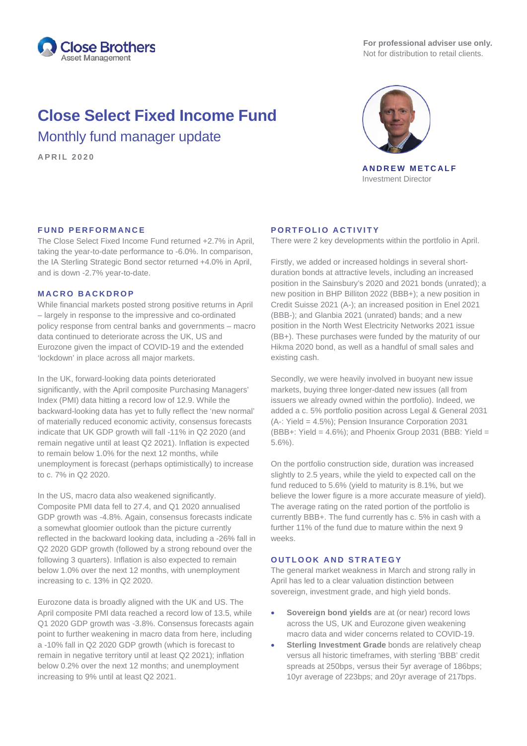

**For professional adviser use only.** Not for distribution to retail clients.

# **Close Select Fixed Income Fund** Monthly fund manager update

**APRIL 2020**



**ANDREW METCALF** Investment Director

# **FUND PERFORMANCE**

The Close Select Fixed Income Fund returned +2.7% in April, taking the year-to-date performance to -6.0%. In comparison, the IA Sterling Strategic Bond sector returned +4.0% in April, and is down -2.7% year-to-date.

## **MACRO BACKDROP**

While financial markets posted strong positive returns in April – largely in response to the impressive and co-ordinated policy response from central banks and governments – macro data continued to deteriorate across the UK, US and Eurozone given the impact of COVID-19 and the extended 'lockdown' in place across all major markets.

In the UK, forward-looking data points deteriorated significantly, with the April composite Purchasing Managers' Index (PMI) data hitting a record low of 12.9. While the backward-looking data has yet to fully reflect the 'new normal' of materially reduced economic activity, consensus forecasts indicate that UK GDP growth will fall -11% in Q2 2020 (and remain negative until at least Q2 2021). Inflation is expected to remain below 1.0% for the next 12 months, while unemployment is forecast (perhaps optimistically) to increase to c. 7% in Q2 2020.

In the US, macro data also weakened significantly. Composite PMI data fell to 27.4, and Q1 2020 annualised GDP growth was -4.8%. Again, consensus forecasts indicate a somewhat gloomier outlook than the picture currently reflected in the backward looking data, including a -26% fall in Q2 2020 GDP growth (followed by a strong rebound over the following 3 quarters). Inflation is also expected to remain below 1.0% over the next 12 months, with unemployment increasing to c. 13% in Q2 2020.

Eurozone data is broadly aligned with the UK and US. The April composite PMI data reached a record low of 13.5, while Q1 2020 GDP growth was -3.8%. Consensus forecasts again point to further weakening in macro data from here, including a -10% fall in Q2 2020 GDP growth (which is forecast to remain in negative territory until at least Q2 2021); inflation below 0.2% over the next 12 months; and unemployment increasing to 9% until at least Q2 2021.

# **PORTFOLIO ACTIVITY**

There were 2 key developments within the portfolio in April.

Firstly, we added or increased holdings in several shortduration bonds at attractive levels, including an increased position in the Sainsbury's 2020 and 2021 bonds (unrated); a new position in BHP Billiton 2022 (BBB+); a new position in Credit Suisse 2021 (A-); an increased position in Enel 2021 (BBB-); and Glanbia 2021 (unrated) bands; and a new position in the North West Electricity Networks 2021 issue (BB+). These purchases were funded by the maturity of our Hikma 2020 bond, as well as a handful of small sales and existing cash.

Secondly, we were heavily involved in buoyant new issue markets, buying three longer-dated new issues (all from issuers we already owned within the portfolio). Indeed, we added a c. 5% portfolio position across Legal & General 2031 (A-: Yield = 4.5%); Pension Insurance Corporation 2031 (BBB+: Yield =  $4.6\%$ ); and Phoenix Group 2031 (BBB: Yield = 5.6%).

On the portfolio construction side, duration was increased slightly to 2.5 years, while the yield to expected call on the fund reduced to 5.6% (yield to maturity is 8.1%, but we believe the lower figure is a more accurate measure of yield). The average rating on the rated portion of the portfolio is currently BBB+. The fund currently has c. 5% in cash with a further 11% of the fund due to mature within the next 9 weeks.

### **OUTLOOK AND STRATEGY**

The general market weakness in March and strong rally in April has led to a clear valuation distinction between sovereign, investment grade, and high yield bonds.

- **Sovereign bond yields** are at (or near) record lows across the US, UK and Eurozone given weakening macro data and wider concerns related to COVID-19.
- **Sterling Investment Grade** bonds are relatively cheap versus all historic timeframes, with sterling 'BBB' credit spreads at 250bps, versus their 5yr average of 186bps; 10yr average of 223bps; and 20yr average of 217bps.